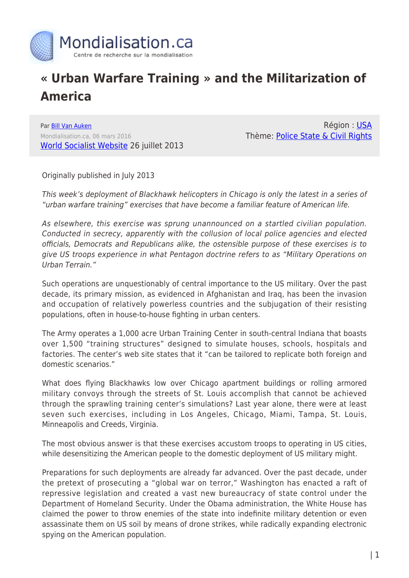

## **« Urban Warfare Training » and the Militarization of America**

Par [Bill Van Auken](https://www.mondialisation.ca/author/bill-van-auken) Mondialisation.ca, 06 mars 2016 [World Socialist Website](http://wsws.org) 26 juillet 2013

Région : [USA](https://www.mondialisation.ca/region/usa) Thème: [Police State & Civil Rights](https://www.mondialisation.ca/theme/police-state-civil-rights)

Originally published in July 2013

This week's deployment of Blackhawk helicopters in Chicago is only the latest in a series of "urban warfare training" exercises that have become a familiar feature of American life.

As elsewhere, this exercise was sprung unannounced on a startled civilian population. Conducted in secrecy, apparently with the collusion of local police agencies and elected officials, Democrats and Republicans alike, the ostensible purpose of these exercises is to give US troops experience in what Pentagon doctrine refers to as "Military Operations on Urban Terrain."

Such operations are unquestionably of central importance to the US military. Over the past decade, its primary mission, as evidenced in Afghanistan and Iraq, has been the invasion and occupation of relatively powerless countries and the subjugation of their resisting populations, often in house-to-house fighting in urban centers.

The Army operates a 1,000 acre Urban Training Center in south-central Indiana that boasts over 1,500 "training structures" designed to simulate houses, schools, hospitals and factories. The center's web site states that it "can be tailored to replicate both foreign and domestic scenarios."

What does flying Blackhawks low over Chicago apartment buildings or rolling armored military convoys through the streets of St. Louis accomplish that cannot be achieved through the sprawling training center's simulations? Last year alone, there were at least seven such exercises, including in Los Angeles, Chicago, Miami, Tampa, St. Louis, Minneapolis and Creeds, Virginia.

The most obvious answer is that these exercises accustom troops to operating in US cities, while desensitizing the American people to the domestic deployment of US military might.

Preparations for such deployments are already far advanced. Over the past decade, under the pretext of prosecuting a "global war on terror," Washington has enacted a raft of repressive legislation and created a vast new bureaucracy of state control under the Department of Homeland Security. Under the Obama administration, the White House has claimed the power to throw enemies of the state into indefinite military detention or even assassinate them on US soil by means of drone strikes, while radically expanding electronic spying on the American population.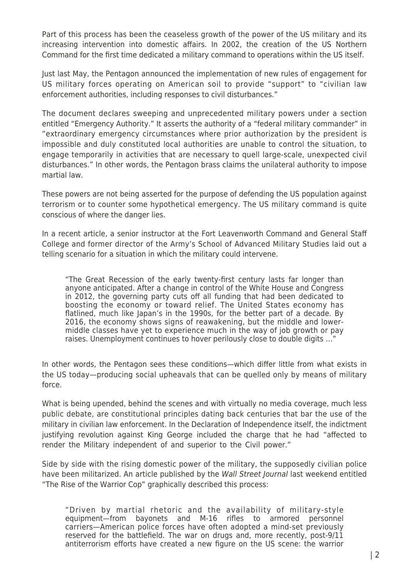Part of this process has been the ceaseless growth of the power of the US military and its increasing intervention into domestic affairs. In 2002, the creation of the US Northern Command for the first time dedicated a military command to operations within the US itself.

Just last May, the Pentagon announced the implementation of new rules of engagement for US military forces operating on American soil to provide "support" to "civilian law enforcement authorities, including responses to civil disturbances."

The document declares sweeping and unprecedented military powers under a section entitled "Emergency Authority." It asserts the authority of a "federal military commander" in "extraordinary emergency circumstances where prior authorization by the president is impossible and duly constituted local authorities are unable to control the situation, to engage temporarily in activities that are necessary to quell large-scale, unexpected civil disturbances." In other words, the Pentagon brass claims the unilateral authority to impose martial law.

These powers are not being asserted for the purpose of defending the US population against terrorism or to counter some hypothetical emergency. The US military command is quite conscious of where the danger lies.

In a recent article, a senior instructor at the Fort Leavenworth Command and General Staff College and former director of the Army's School of Advanced Military Studies laid out a telling scenario for a situation in which the military could intervene.

"The Great Recession of the early twenty-first century lasts far longer than anyone anticipated. After a change in control of the White House and Congress in 2012, the governing party cuts off all funding that had been dedicated to boosting the economy or toward relief. The United States economy has flatlined, much like Japan's in the 1990s, for the better part of a decade. By 2016, the economy shows signs of reawakening, but the middle and lowermiddle classes have yet to experience much in the way of job growth or pay raises. Unemployment continues to hover perilously close to double digits …"

In other words, the Pentagon sees these conditions—which differ little from what exists in the US today—producing social upheavals that can be quelled only by means of military force.

What is being upended, behind the scenes and with virtually no media coverage, much less public debate, are constitutional principles dating back centuries that bar the use of the military in civilian law enforcement. In the Declaration of Independence itself, the indictment justifying revolution against King George included the charge that he had "affected to render the Military independent of and superior to the Civil power."

Side by side with the rising domestic power of the military, the supposedly civilian police have been militarized. An article published by the Wall Street Journal last weekend entitled "The Rise of the Warrior Cop" graphically described this process:

"Driven by martial rhetoric and the availability of military-style equipment—from bayonets and M-16 rifles to armored personnel carriers—American police forces have often adopted a mind-set previously reserved for the battlefield. The war on drugs and, more recently, post-9/11 antiterrorism efforts have created a new figure on the US scene: the warrior